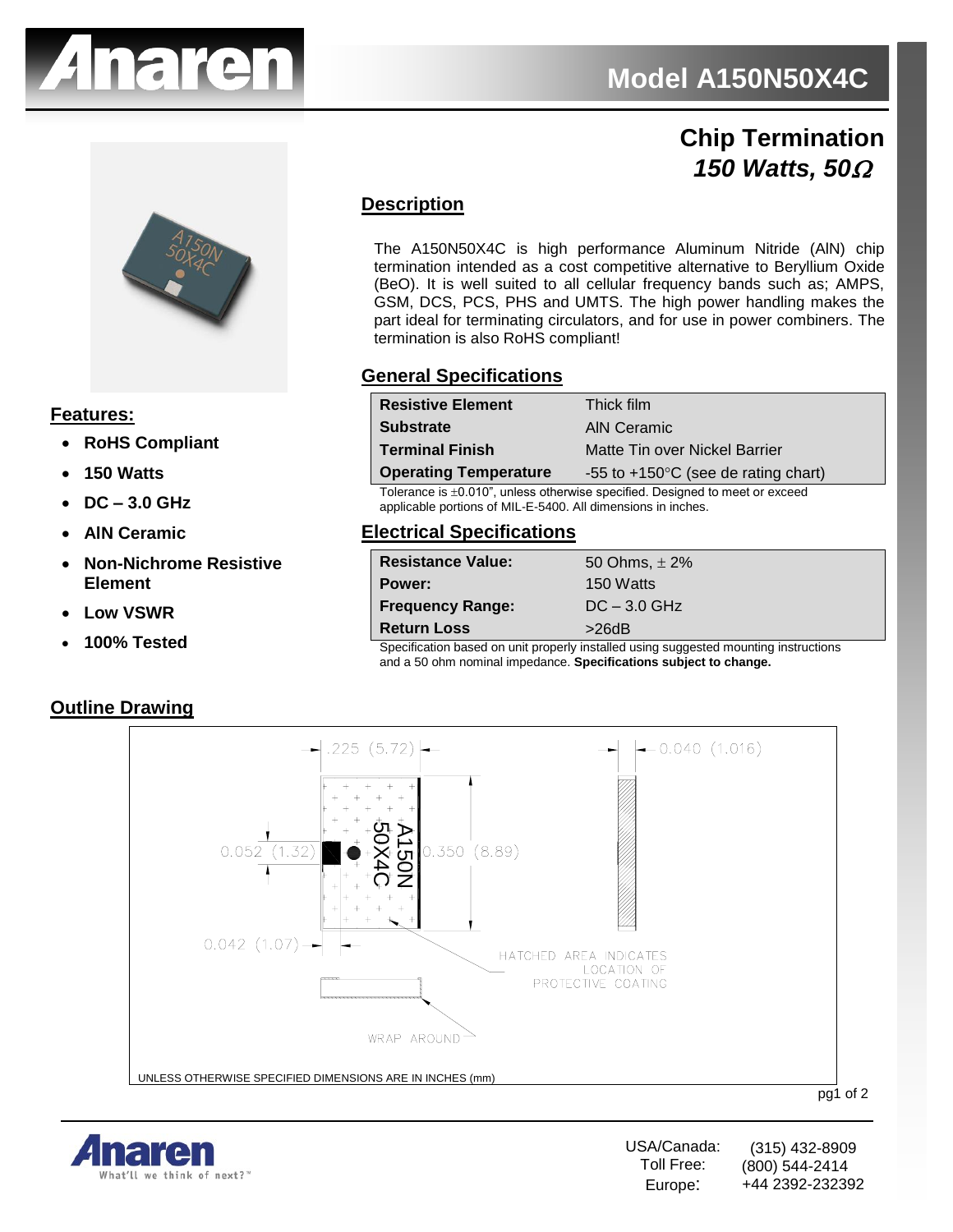

## **5Z2050 Chip Termination**  *150 Watts, 50*



#### **Features:**

- **RoHS Compliant**
- **150 Watts**
- **DC – 3.0 GHz**
- **AlN Ceramic**
- **Non-Nichrome Resistive Element**
- **Low VSWR**
- **100% Tested**

#### **Outline Drawing**

#### **Description**

The A150N50X4C is high performance Aluminum Nitride (AlN) chip termination intended as a cost competitive alternative to Beryllium Oxide (BeO). It is well suited to all cellular frequency bands such as; AMPS, GSM, DCS, PCS, PHS and UMTS. The high power handling makes the part ideal for terminating circulators, and for use in power combiners. The termination is also RoHS compliant!

#### **General Specifications**

| <b>Resistive Element</b>                                                          | Thick film                                      |
|-----------------------------------------------------------------------------------|-------------------------------------------------|
| <b>Substrate</b>                                                                  | AIN Ceramic                                     |
| <b>Terminal Finish</b>                                                            | Matte Tin over Nickel Barrier                   |
| <b>Operating Temperature</b>                                                      | $-55$ to $+150^{\circ}$ C (see de rating chart) |
| Telegraphy in 10,040", unlarge themselve appelling a Decima dito ment on assembly |                                                 |

Tolerance is  $\pm 0.010$ ", unless otherwise specified. Designed to meet or exceed applicable portions of MIL-E-5400. All dimensions in inches.

#### **Electrical Specifications**

| <b>Resistance Value:</b>                                                            | 50 Ohms, $\pm 2\%$ |
|-------------------------------------------------------------------------------------|--------------------|
| Power:                                                                              | 150 Watts          |
| <b>Frequency Range:</b>                                                             | $DC - 3.0$ GHz     |
| <b>Return Loss</b>                                                                  | >26dB              |
| Considertian honed an unit properly installed using ouganized mounting instructions |                    |

Specification based on unit properly installed using suggested mounting instructions and a 50 ohm nominal impedance. **Specifications subject to change.**